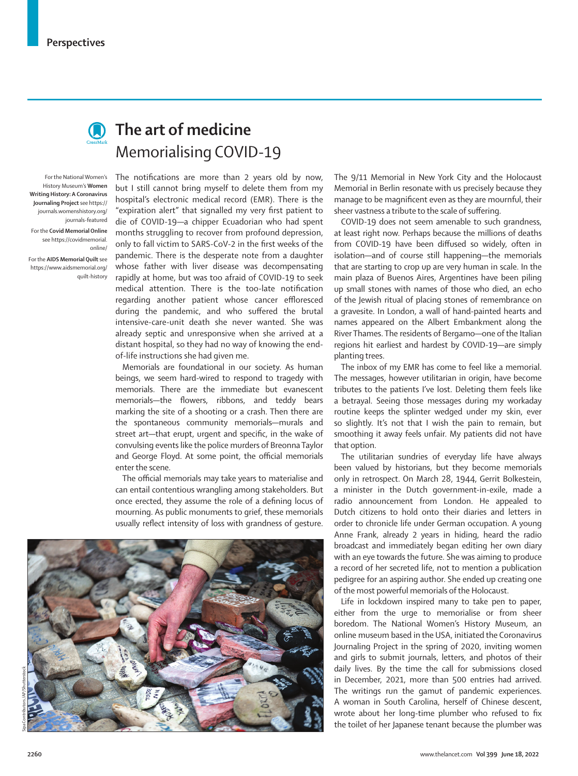

## **Contact The art of medicine** Memorialising COVID-19

For the National Women's History Museum's **Women Writing History: A Coronavirus Journaling Project** see https:// journals.womenshistory.org/ journals-featured For the **Covid Memorial Online** see https://covidmemorial. online/

For the **AIDS Memorial Quilt** see https://www.aidsmemorial.org/ quilt-history The notifications are more than 2 years old by now, but I still cannot bring myself to delete them from my hospital's electronic medical record (EMR). There is the "expiration alert" that signalled my very first patient to die of COVID-19—a chipper Ecuadorian who had spent months struggling to recover from profound depression, only to fall victim to SARS-CoV-2 in the first weeks of the pandemic. There is the desperate note from a daughter whose father with liver disease was decompensating rapidly at home, but was too afraid of COVID-19 to seek medical attention. There is the too-late notification regarding another patient whose cancer effloresced during the pandemic, and who suffered the brutal intensive-care-unit death she never wanted. She was already septic and unresponsive when she arrived at a distant hospital, so they had no way of knowing the endof-life instructions she had given me.

Memorials are foundational in our society. As human beings, we seem hard-wired to respond to tragedy with memorials. There are the immediate but evanescent memorials—the flowers, ribbons, and teddy bears marking the site of a shooting or a crash. Then there are the spontaneous community memorials—murals and street art—that erupt, urgent and specific, in the wake of convulsing events like the police murders of Breonna Taylor and George Floyd. At some point, the official memorials enter the scene.

The official memorials may take years to materialise and can entail contentious wrangling among stakeholders. But once erected, they assume the role of a defining locus of mourning. As public monuments to grief, these memorials usually reflect intensity of loss with grandness of gesture.



The 9/11 Memorial in New York City and the Holocaust Memorial in Berlin resonate with us precisely because they manage to be magnificent even as they are mournful, their sheer vastness a tribute to the scale of suffering.

COVID-19 does not seem amenable to such grandness, at least right now. Perhaps because the millions of deaths from COVID-19 have been diffused so widely, often in isolation—and of course still happening—the memorials that are starting to crop up are very human in scale. In the main plaza of Buenos Aires, Argentines have been piling up small stones with names of those who died, an echo of the Jewish ritual of placing stones of remembrance on a gravesite. In London, a wall of hand-painted hearts and names appeared on the Albert Embankment along the River Thames. The residents of Bergamo—one of the Italian regions hit earliest and hardest by COVID-19—are simply planting trees.

The inbox of my EMR has come to feel like a memorial. The messages, however utilitarian in origin, have become tributes to the patients I've lost. Deleting them feels like a betrayal. Seeing those messages during my workaday routine keeps the splinter wedged under my skin, ever so slightly. It's not that I wish the pain to remain, but smoothing it away feels unfair. My patients did not have that option.

The utilitarian sundries of everyday life have always been valued by historians, but they become memorials only in retrospect. On March 28, 1944, Gerrit Bolkestein, a minister in the Dutch government-in-exile, made a radio announcement from London. He appealed to Dutch citizens to hold onto their diaries and letters in order to chronicle life under German occupation. A young Anne Frank, already 2 years in hiding, heard the radio broadcast and immediately began editing her own diary with an eye towards the future. She was aiming to produce a record of her secreted life, not to mention a publication pedigree for an aspiring author. She ended up creating one of the most powerful memorials of the Holocaust.

Life in lockdown inspired many to take pen to paper, either from the urge to memorialise or from sheer boredom. The National Women's History Museum, an online museum based in the USA, initiated the Coronavirus Journaling Project in the spring of 2020, inviting women and girls to submit journals, letters, and photos of their daily lives. By the time the call for submissions closed in December, 2021, more than 500 entries had arrived. The writings run the gamut of pandemic experiences. A woman in South Carolina, herself of Chinese descent, wrote about her long-time plumber who refused to fix the toilet of her Japanese tenant because the plumber was